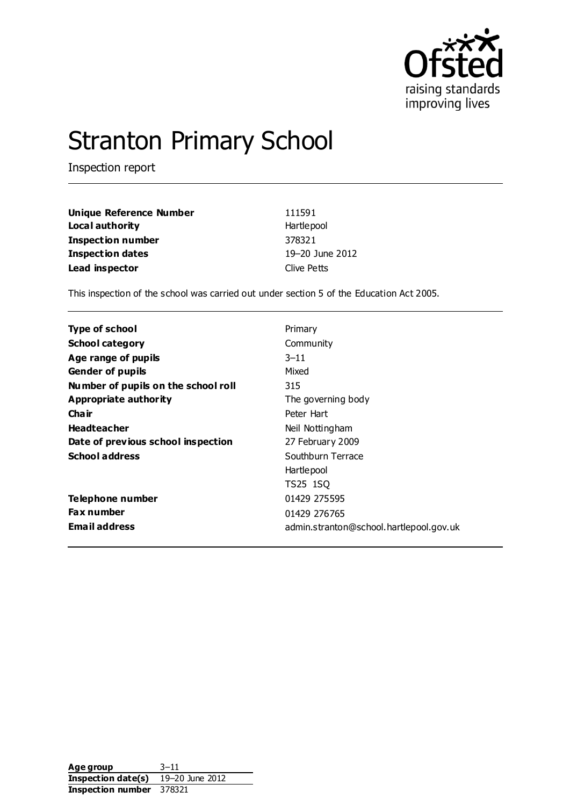

# Stranton Primary School

Inspection report

| <b>Unique Reference Number</b> | 111591          |
|--------------------------------|-----------------|
| Local authority                | Hartlepool      |
| <b>Inspection number</b>       | 378321          |
| <b>Inspection dates</b>        | 19-20 June 2012 |
| Lead inspector                 | Clive Petts     |

This inspection of the school was carried out under section 5 of the Education Act 2005.

| Type of school                      | Primary                                 |
|-------------------------------------|-----------------------------------------|
| <b>School category</b>              | Community                               |
| Age range of pupils                 | $3 - 11$                                |
| <b>Gender of pupils</b>             | Mixed                                   |
| Number of pupils on the school roll | 315                                     |
| Appropriate authority               | The governing body                      |
| Cha ir                              | Peter Hart                              |
| <b>Headteacher</b>                  | Neil Nottingham                         |
| Date of previous school inspection  | 27 February 2009                        |
| <b>School address</b>               | Southburn Terrace                       |
|                                     | Hartlepool                              |
|                                     | TS25 1SQ                                |
| Telephone number                    | 01429 275595                            |
| <b>Fax number</b>                   | 01429 276765                            |
| <b>Email address</b>                | admin.stranton@school.hartlepool.gov.uk |

Age group 3–11 **Inspection date(s)** 19–20 June 2012 **Inspection number** 378321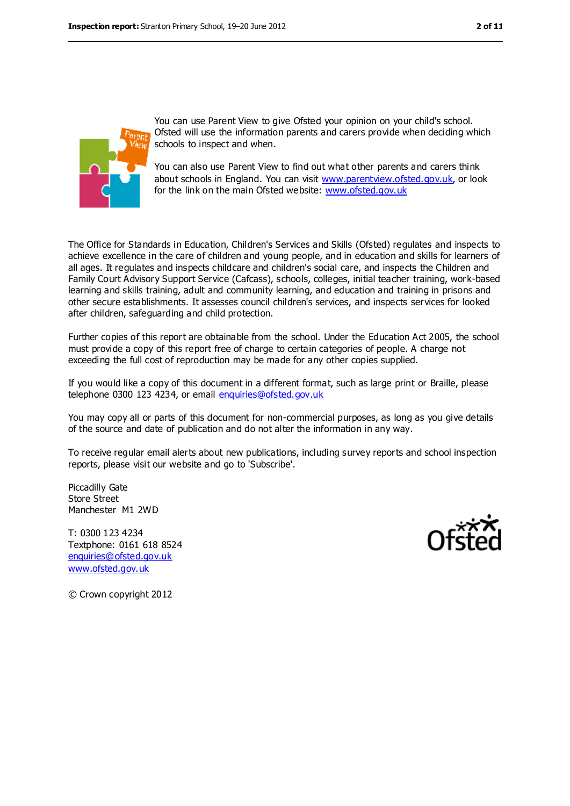

You can use Parent View to give Ofsted your opinion on your child's school. Ofsted will use the information parents and carers provide when deciding which schools to inspect and when.

You can also use Parent View to find out what other parents and carers think about schools in England. You can visit [www.parentview.ofsted.gov.uk,](../../../../AppData/Local/Microsoft/AppData/Local/Microsoft/Windows/Temporary%20Internet%20Files/Content.IE5/6CNHLE34/www.parentview.ofsted.gov.uk) or look for the link on the main Ofsted website: [www.ofsted.gov.uk](../../../../AppData/Local/Microsoft/AppData/Local/Microsoft/Windows/Temporary%20Internet%20Files/Content.IE5/6CNHLE34/www.ofsted.gov.uk)

The Office for Standards in Education, Children's Services and Skills (Ofsted) regulates and inspects to achieve excellence in the care of children and young people, and in education and skills for learners of all ages. It regulates and inspects childcare and children's social care, and inspects the Children and Family Court Advisory Support Service (Cafcass), schools, colleges, initial teacher training, work-based learning and skills training, adult and community learning, and education and training in prisons and other secure establishments. It assesses council children's services, and inspects services for looked after children, safeguarding and child protection.

Further copies of this report are obtainable from the school. Under the Education Act 2005, the school must provide a copy of this report free of charge to certain categories of people. A charge not exceeding the full cost of reproduction may be made for any other copies supplied.

If you would like a copy of this document in a different format, such as large print or Braille, please telephone 0300 123 4234, or email [enquiries@ofsted.gov.uk](mailto:enquiries@ofsted.gov.uk)

You may copy all or parts of this document for non-commercial purposes, as long as you give details of the source and date of publication and do not alter the information in any way.

To receive regular email alerts about new publications, including survey reports and school inspection reports, please visit our website and go to 'Subscribe'.

Piccadilly Gate Store Street Manchester M1 2WD

T: 0300 123 4234 Textphone: 0161 618 8524 [enquiries@ofsted.gov.uk](mailto:enquiries@ofsted.gov.uk) [www.ofsted.gov.uk](http://www.ofsted.gov.uk/)



© Crown copyright 2012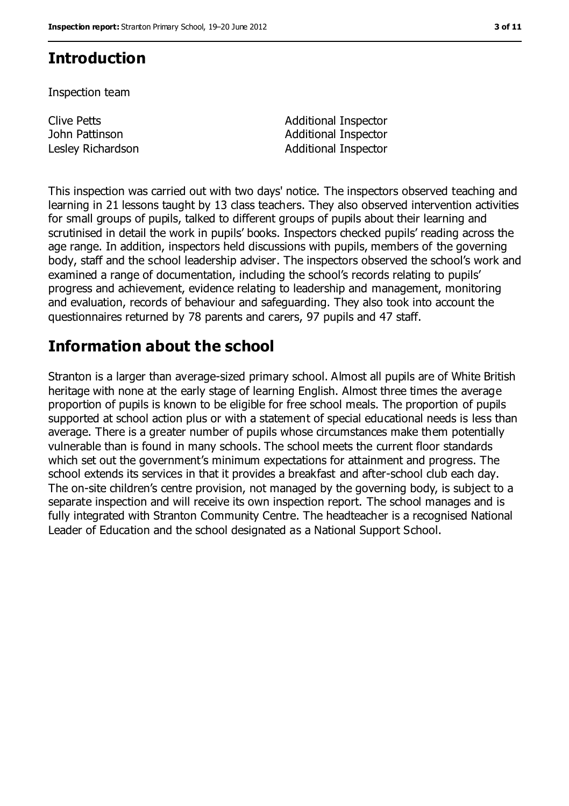# **Introduction**

Inspection team

Clive Petts John Pattinson

Additional Inspector Additional Inspector Lesley Richardson **Additional Inspector** 

This inspection was carried out with two days' notice. The inspectors observed teaching and learning in 21 lessons taught by 13 class teachers. They also observed intervention activities for small groups of pupils, talked to different groups of pupils about their learning and scrutinised in detail the work in pupils' books. Inspectors checked pupils' reading across the age range. In addition, inspectors held discussions with pupils, members of the governing body, staff and the school leadership adviser. The inspectors observed the school's work and examined a range of documentation, including the school's records relating to pupils' progress and achievement, evidence relating to leadership and management, monitoring and evaluation, records of behaviour and safeguarding. They also took into account the questionnaires returned by 78 parents and carers, 97 pupils and 47 staff.

## **Information about the school**

Stranton is a larger than average-sized primary school. Almost all pupils are of White British heritage with none at the early stage of learning English. Almost three times the average proportion of pupils is known to be eligible for free school meals. The proportion of pupils supported at school action plus or with a statement of special educational needs is less than average. There is a greater number of pupils whose circumstances make them potentially vulnerable than is found in many schools. The school meets the current floor standards which set out the government's minimum expectations for attainment and progress. The school extends its services in that it provides a breakfast and after-school club each day. The on-site children's centre provision, not managed by the governing body, is subject to a separate inspection and will receive its own inspection report. The school manages and is fully integrated with Stranton Community Centre. The headteacher is a recognised National Leader of Education and the school designated as a National Support School.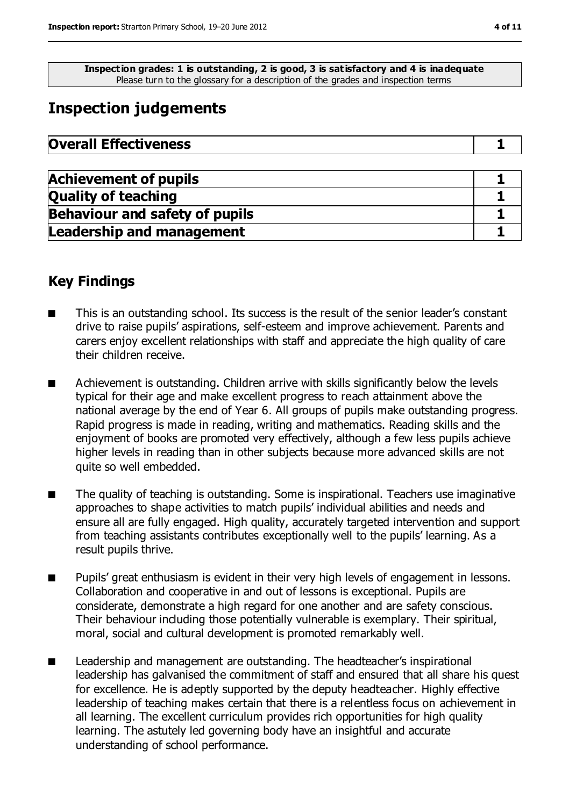**Inspection grades: 1 is outstanding, 2 is good, 3 is satisfactory and 4 is inadequate** Please turn to the glossary for a description of the grades and inspection terms

# **Inspection judgements**

| <b>Overall Effectiveness</b> |  |
|------------------------------|--|
|------------------------------|--|

| <b>Achievement of pupils</b>          |  |
|---------------------------------------|--|
| <b>Quality of teaching</b>            |  |
| <b>Behaviour and safety of pupils</b> |  |
| <b>Leadership and management</b>      |  |

## **Key Findings**

- This is an outstanding school. Its success is the result of the senior leader's constant drive to raise pupils' aspirations, self-esteem and improve achievement. Parents and carers enjoy excellent relationships with staff and appreciate the high quality of care their children receive.
- Achievement is outstanding. Children arrive with skills significantly below the levels typical for their age and make excellent progress to reach attainment above the national average by the end of Year 6. All groups of pupils make outstanding progress. Rapid progress is made in reading, writing and mathematics. Reading skills and the enjoyment of books are promoted very effectively, although a few less pupils achieve higher levels in reading than in other subjects because more advanced skills are not quite so well embedded.
- The quality of teaching is outstanding. Some is inspirational. Teachers use imaginative approaches to shape activities to match pupils' individual abilities and needs and ensure all are fully engaged. High quality, accurately targeted intervention and support from teaching assistants contributes exceptionally well to the pupils' learning. As a result pupils thrive.
- Pupils' great enthusiasm is evident in their very high levels of engagement in lessons. Collaboration and cooperative in and out of lessons is exceptional. Pupils are considerate, demonstrate a high regard for one another and are safety conscious. Their behaviour including those potentially vulnerable is exemplary. Their spiritual, moral, social and cultural development is promoted remarkably well.
- Leadership and management are outstanding. The headteacher's inspirational leadership has galvanised the commitment of staff and ensured that all share his quest for excellence. He is adeptly supported by the deputy headteacher. Highly effective leadership of teaching makes certain that there is a relentless focus on achievement in all learning. The excellent curriculum provides rich opportunities for high quality learning. The astutely led governing body have an insightful and accurate understanding of school performance.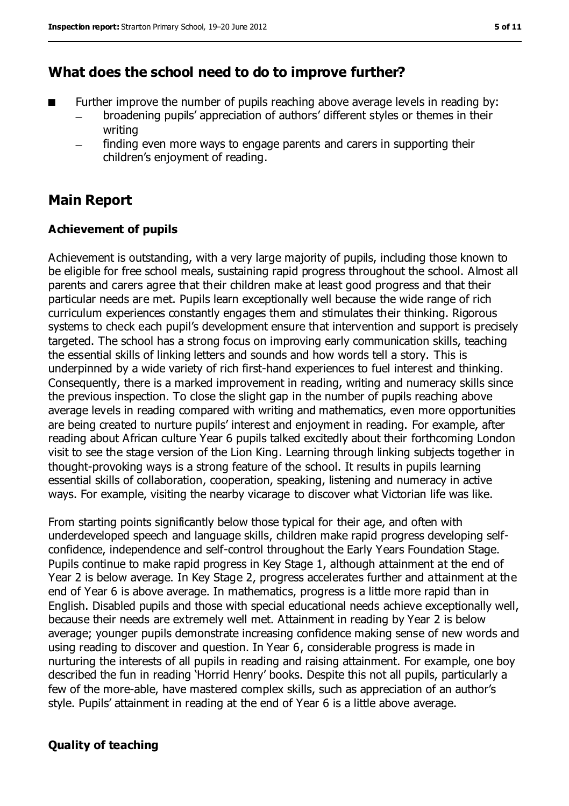### **What does the school need to do to improve further?**

- Further improve the number of pupils reaching above average levels in reading by:
	- broadening pupils' appreciation of authors' different styles or themes in their writing
	- finding even more ways to engage parents and carers in supporting their children's enjoyment of reading.

## **Main Report**

#### **Achievement of pupils**

Achievement is outstanding, with a very large majority of pupils, including those known to be eligible for free school meals, sustaining rapid progress throughout the school. Almost all parents and carers agree that their children make at least good progress and that their particular needs are met. Pupils learn exceptionally well because the wide range of rich curriculum experiences constantly engages them and stimulates their thinking. Rigorous systems to check each pupil's development ensure that intervention and support is precisely targeted. The school has a strong focus on improving early communication skills, teaching the essential skills of linking letters and sounds and how words tell a story. This is underpinned by a wide variety of rich first-hand experiences to fuel interest and thinking. Consequently, there is a marked improvement in reading, writing and numeracy skills since the previous inspection. To close the slight gap in the number of pupils reaching above average levels in reading compared with writing and mathematics, even more opportunities are being created to nurture pupils' interest and enjoyment in reading. For example, after reading about African culture Year 6 pupils talked excitedly about their forthcoming London visit to see the stage version of the Lion King. Learning through linking subjects together in thought-provoking ways is a strong feature of the school. It results in pupils learning essential skills of collaboration, cooperation, speaking, listening and numeracy in active ways. For example, visiting the nearby vicarage to discover what Victorian life was like.

From starting points significantly below those typical for their age, and often with underdeveloped speech and language skills, children make rapid progress developing selfconfidence, independence and self-control throughout the Early Years Foundation Stage. Pupils continue to make rapid progress in Key Stage 1, although attainment at the end of Year 2 is below average. In Key Stage 2, progress accelerates further and attainment at the end of Year 6 is above average. In mathematics, progress is a little more rapid than in English. Disabled pupils and those with special educational needs achieve exceptionally well, because their needs are extremely well met. Attainment in reading by Year 2 is below average; younger pupils demonstrate increasing confidence making sense of new words and using reading to discover and question. In Year 6, considerable progress is made in nurturing the interests of all pupils in reading and raising attainment. For example, one boy described the fun in reading 'Horrid Henry' books. Despite this not all pupils, particularly a few of the more-able, have mastered complex skills, such as appreciation of an author's style. Pupils' attainment in reading at the end of Year 6 is a little above average.

#### **Quality of teaching**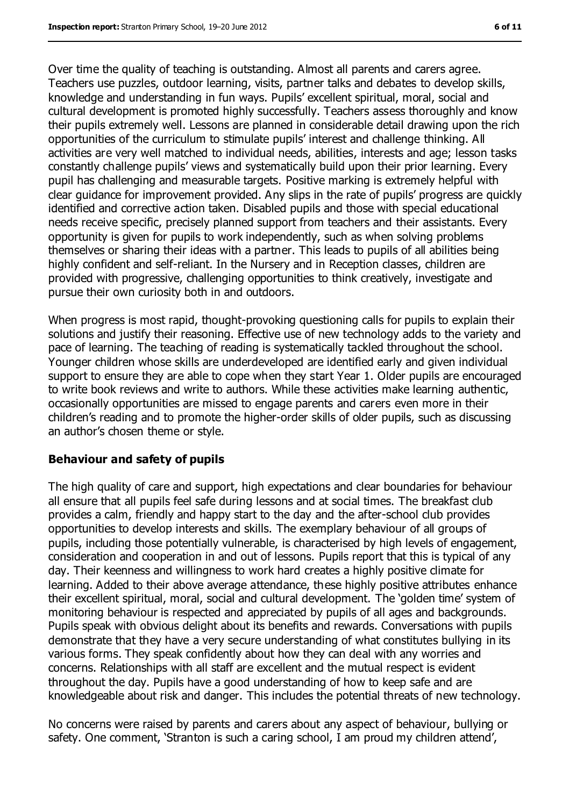Over time the quality of teaching is outstanding. Almost all parents and carers agree. Teachers use puzzles, outdoor learning, visits, partner talks and debates to develop skills, knowledge and understanding in fun ways. Pupils' excellent spiritual, moral, social and cultural development is promoted highly successfully. Teachers assess thoroughly and know their pupils extremely well. Lessons are planned in considerable detail drawing upon the rich opportunities of the curriculum to stimulate pupils' interest and challenge thinking. All activities are very well matched to individual needs, abilities, interests and age; lesson tasks constantly challenge pupils' views and systematically build upon their prior learning. Every pupil has challenging and measurable targets. Positive marking is extremely helpful with clear guidance for improvement provided. Any slips in the rate of pupils' progress are quickly identified and corrective action taken. Disabled pupils and those with special educational needs receive specific, precisely planned support from teachers and their assistants. Every opportunity is given for pupils to work independently, such as when solving problems themselves or sharing their ideas with a partner. This leads to pupils of all abilities being highly confident and self-reliant. In the Nursery and in Reception classes, children are provided with progressive, challenging opportunities to think creatively, investigate and pursue their own curiosity both in and outdoors.

When progress is most rapid, thought-provoking questioning calls for pupils to explain their solutions and justify their reasoning. Effective use of new technology adds to the variety and pace of learning. The teaching of reading is systematically tackled throughout the school. Younger children whose skills are underdeveloped are identified early and given individual support to ensure they are able to cope when they start Year 1. Older pupils are encouraged to write book reviews and write to authors. While these activities make learning authentic, occasionally opportunities are missed to engage parents and carers even more in their children's reading and to promote the higher-order skills of older pupils, such as discussing an author's chosen theme or style.

#### **Behaviour and safety of pupils**

The high quality of care and support, high expectations and clear boundaries for behaviour all ensure that all pupils feel safe during lessons and at social times. The breakfast club provides a calm, friendly and happy start to the day and the after-school club provides opportunities to develop interests and skills. The exemplary behaviour of all groups of pupils, including those potentially vulnerable, is characterised by high levels of engagement, consideration and cooperation in and out of lessons. Pupils report that this is typical of any day. Their keenness and willingness to work hard creates a highly positive climate for learning. Added to their above average attendance, these highly positive attributes enhance their excellent spiritual, moral, social and cultural development. The 'golden time' system of monitoring behaviour is respected and appreciated by pupils of all ages and backgrounds. Pupils speak with obvious delight about its benefits and rewards. Conversations with pupils demonstrate that they have a very secure understanding of what constitutes bullying in its various forms. They speak confidently about how they can deal with any worries and concerns. Relationships with all staff are excellent and the mutual respect is evident throughout the day. Pupils have a good understanding of how to keep safe and are knowledgeable about risk and danger. This includes the potential threats of new technology.

No concerns were raised by parents and carers about any aspect of behaviour, bullying or safety. One comment, 'Stranton is such a caring school, I am proud my children attend',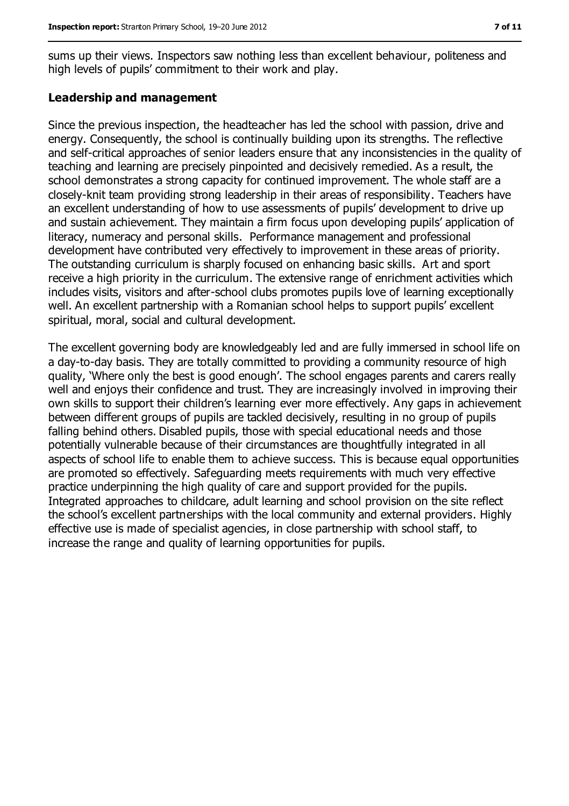sums up their views. Inspectors saw nothing less than excellent behaviour, politeness and high levels of pupils' commitment to their work and play.

#### **Leadership and management**

Since the previous inspection, the headteacher has led the school with passion, drive and energy. Consequently, the school is continually building upon its strengths. The reflective and self-critical approaches of senior leaders ensure that any inconsistencies in the quality of teaching and learning are precisely pinpointed and decisively remedied. As a result, the school demonstrates a strong capacity for continued improvement. The whole staff are a closely-knit team providing strong leadership in their areas of responsibility. Teachers have an excellent understanding of how to use assessments of pupils' development to drive up and sustain achievement. They maintain a firm focus upon developing pupils' application of literacy, numeracy and personal skills. Performance management and professional development have contributed very effectively to improvement in these areas of priority. The outstanding curriculum is sharply focused on enhancing basic skills. Art and sport receive a high priority in the curriculum. The extensive range of enrichment activities which includes visits, visitors and after-school clubs promotes pupils love of learning exceptionally well. An excellent partnership with a Romanian school helps to support pupils' excellent spiritual, moral, social and cultural development.

The excellent governing body are knowledgeably led and are fully immersed in school life on a day-to-day basis. They are totally committed to providing a community resource of high quality, 'Where only the best is good enough'. The school engages parents and carers really well and enjoys their confidence and trust. They are increasingly involved in improving their own skills to support their children's learning ever more effectively. Any gaps in achievement between different groups of pupils are tackled decisively, resulting in no group of pupils falling behind others. Disabled pupils, those with special educational needs and those potentially vulnerable because of their circumstances are thoughtfully integrated in all aspects of school life to enable them to achieve success. This is because equal opportunities are promoted so effectively. Safeguarding meets requirements with much very effective practice underpinning the high quality of care and support provided for the pupils. Integrated approaches to childcare, adult learning and school provision on the site reflect the school's excellent partnerships with the local community and external providers. Highly effective use is made of specialist agencies, in close partnership with school staff, to increase the range and quality of learning opportunities for pupils.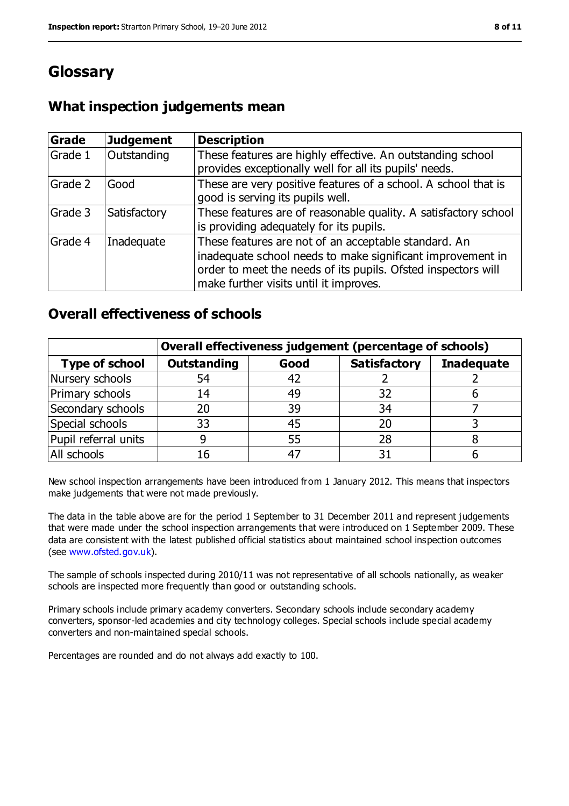# **Glossary**

## **What inspection judgements mean**

| Grade   | <b>Judgement</b> | <b>Description</b>                                                                                                                                                                                                            |
|---------|------------------|-------------------------------------------------------------------------------------------------------------------------------------------------------------------------------------------------------------------------------|
| Grade 1 | Outstanding      | These features are highly effective. An outstanding school<br>provides exceptionally well for all its pupils' needs.                                                                                                          |
| Grade 2 | Good             | These are very positive features of a school. A school that is<br>good is serving its pupils well.                                                                                                                            |
| Grade 3 | Satisfactory     | These features are of reasonable quality. A satisfactory school<br>is providing adequately for its pupils.                                                                                                                    |
| Grade 4 | Inadequate       | These features are not of an acceptable standard. An<br>inadequate school needs to make significant improvement in<br>order to meet the needs of its pupils. Ofsted inspectors will<br>make further visits until it improves. |

### **Overall effectiveness of schools**

|                       | Overall effectiveness judgement (percentage of schools) |      |                     |                   |
|-----------------------|---------------------------------------------------------|------|---------------------|-------------------|
| <b>Type of school</b> | <b>Outstanding</b>                                      | Good | <b>Satisfactory</b> | <b>Inadequate</b> |
| Nursery schools       | 54                                                      | 42   |                     |                   |
| Primary schools       | 14                                                      | 49   | 32                  |                   |
| Secondary schools     | 20                                                      | 39   | 34                  |                   |
| Special schools       | 33                                                      | 45   | 20                  |                   |
| Pupil referral units  |                                                         | 55   | 28                  |                   |
| All schools           | 16                                                      | $-4$ |                     |                   |

New school inspection arrangements have been introduced from 1 January 2012. This means that inspectors make judgements that were not made previously.

The data in the table above are for the period 1 September to 31 December 2011 and represent judgements that were made under the school inspection arrangements that were introduced on 1 September 2009. These data are consistent with the latest published official statistics about maintained school inspection outcomes (see [www.ofsted.gov.uk\)](../../../../AppData/Local/Microsoft/AppData/Local/Microsoft/Windows/Temporary%20Internet%20Files/Content.IE5/6CNHLE34/www.ofsted.gov.uk).

The sample of schools inspected during 2010/11 was not representative of all schools nationally, as weaker schools are inspected more frequently than good or outstanding schools.

Primary schools include primary academy converters. Secondary schools include secondary academy converters, sponsor-led academies and city technology colleges. Special schools include special academy converters and non-maintained special schools.

Percentages are rounded and do not always add exactly to 100.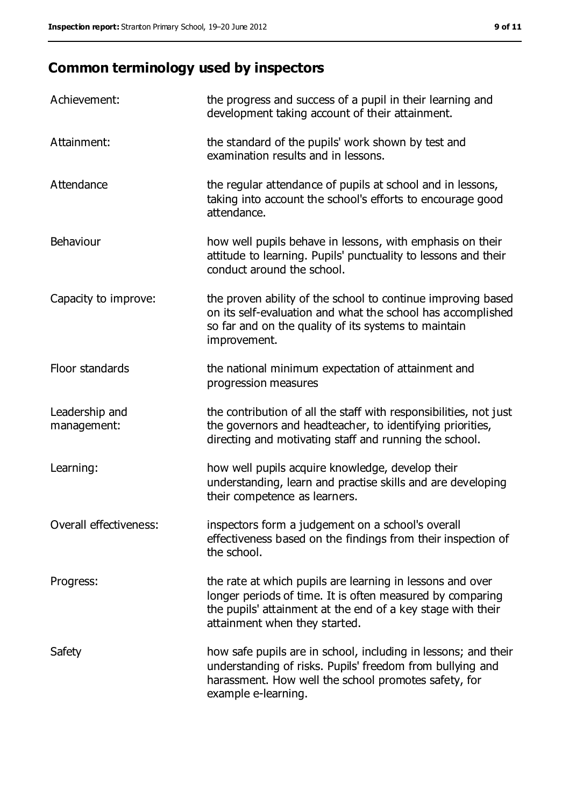# **Common terminology used by inspectors**

| Achievement:                  | the progress and success of a pupil in their learning and<br>development taking account of their attainment.                                                                                                           |
|-------------------------------|------------------------------------------------------------------------------------------------------------------------------------------------------------------------------------------------------------------------|
| Attainment:                   | the standard of the pupils' work shown by test and<br>examination results and in lessons.                                                                                                                              |
| Attendance                    | the regular attendance of pupils at school and in lessons,<br>taking into account the school's efforts to encourage good<br>attendance.                                                                                |
| Behaviour                     | how well pupils behave in lessons, with emphasis on their<br>attitude to learning. Pupils' punctuality to lessons and their<br>conduct around the school.                                                              |
| Capacity to improve:          | the proven ability of the school to continue improving based<br>on its self-evaluation and what the school has accomplished<br>so far and on the quality of its systems to maintain<br>improvement.                    |
| Floor standards               | the national minimum expectation of attainment and<br>progression measures                                                                                                                                             |
| Leadership and<br>management: | the contribution of all the staff with responsibilities, not just<br>the governors and headteacher, to identifying priorities,<br>directing and motivating staff and running the school.                               |
| Learning:                     | how well pupils acquire knowledge, develop their<br>understanding, learn and practise skills and are developing<br>their competence as learners.                                                                       |
| Overall effectiveness:        | inspectors form a judgement on a school's overall<br>effectiveness based on the findings from their inspection of<br>the school.                                                                                       |
| Progress:                     | the rate at which pupils are learning in lessons and over<br>longer periods of time. It is often measured by comparing<br>the pupils' attainment at the end of a key stage with their<br>attainment when they started. |
| Safety                        | how safe pupils are in school, including in lessons; and their<br>understanding of risks. Pupils' freedom from bullying and<br>harassment. How well the school promotes safety, for<br>example e-learning.             |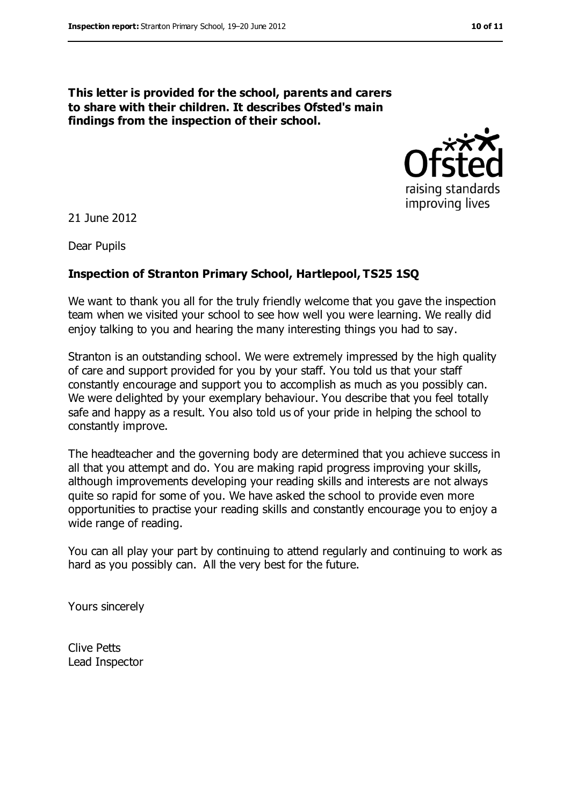#### **This letter is provided for the school, parents and carers to share with their children. It describes Ofsted's main findings from the inspection of their school.**



21 June 2012

Dear Pupils

#### **Inspection of Stranton Primary School, Hartlepool, TS25 1SQ**

We want to thank you all for the truly friendly welcome that you gave the inspection team when we visited your school to see how well you were learning. We really did enjoy talking to you and hearing the many interesting things you had to say.

Stranton is an outstanding school. We were extremely impressed by the high quality of care and support provided for you by your staff. You told us that your staff constantly encourage and support you to accomplish as much as you possibly can. We were delighted by your exemplary behaviour. You describe that you feel totally safe and happy as a result. You also told us of your pride in helping the school to constantly improve.

The headteacher and the governing body are determined that you achieve success in all that you attempt and do. You are making rapid progress improving your skills, although improvements developing your reading skills and interests are not always quite so rapid for some of you. We have asked the school to provide even more opportunities to practise your reading skills and constantly encourage you to enjoy a wide range of reading.

You can all play your part by continuing to attend regularly and continuing to work as hard as you possibly can. All the very best for the future.

Yours sincerely

Clive Petts Lead Inspector